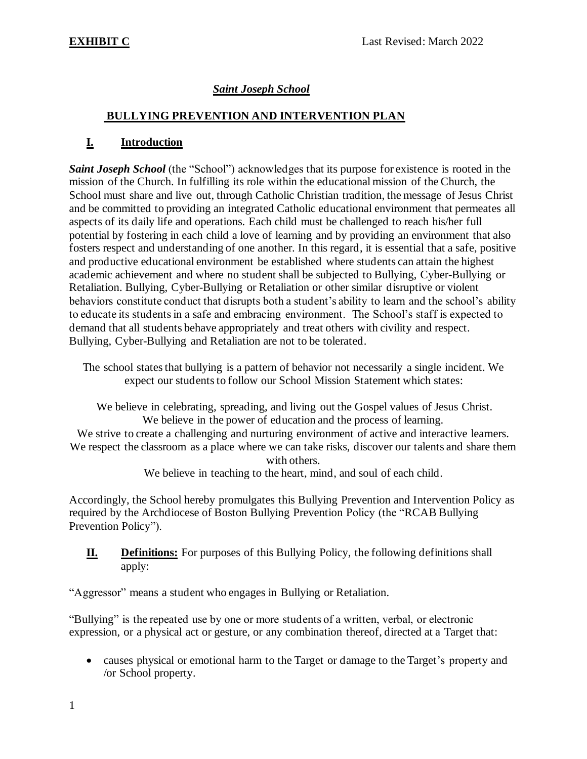## *Saint Joseph School*

### **BULLYING PREVENTION AND INTERVENTION PLAN**

### **I. Introduction**

*Saint Joseph School* (the "School") acknowledges that its purpose for existence is rooted in the mission of the Church. In fulfilling its role within the educational mission of the Church, the School must share and live out, through Catholic Christian tradition, the message of Jesus Christ and be committed to providing an integrated Catholic educational environment that permeates all aspects of its daily life and operations. Each child must be challenged to reach his/her full potential by fostering in each child a love of learning and by providing an environment that also fosters respect and understanding of one another. In this regard, it is essential that a safe, positive and productive educational environment be established where students can attain the highest academic achievement and where no student shall be subjected to Bullying, Cyber-Bullying or Retaliation. Bullying, Cyber-Bullying or Retaliation or other similar disruptive or violent behaviors constitute conduct that disrupts both a student's ability to learn and the school's ability to educate its students in a safe and embracing environment. The School's staff is expected to demand that all students behave appropriately and treat others with civility and respect. Bullying, Cyber-Bullying and Retaliation are not to be tolerated.

The school states that bullying is a pattern of behavior not necessarily a single incident. We expect our students to follow our School Mission Statement which states:

We believe in celebrating, spreading, and living out the Gospel values of Jesus Christ. We believe in the power of education and the process of learning.

We strive to create a challenging and nurturing environment of active and interactive learners. We respect the classroom as a place where we can take risks, discover our talents and share them with others.

We believe in teaching to the heart, mind, and soul of each child.

Accordingly, the School hereby promulgates this Bullying Prevention and Intervention Policy as required by the Archdiocese of Boston Bullying Prevention Policy (the "RCAB Bullying Prevention Policy").

### **II. Definitions:** For purposes of this Bullying Policy, the following definitions shall apply:

"Aggressor" means a student who engages in Bullying or Retaliation.

"Bullying" is the repeated use by one or more students of a written, verbal, or electronic expression, or a physical act or gesture, or any combination thereof, directed at a Target that:

• causes physical or emotional harm to the Target or damage to the Target's property and /or School property.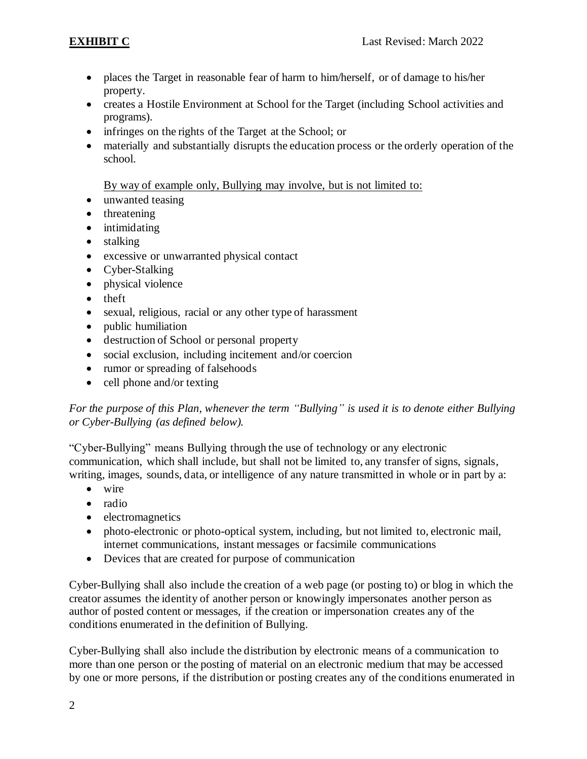- places the Target in reasonable fear of harm to him/herself, or of damage to his/her property.
- creates a Hostile Environment at School for the Target (including School activities and programs).
- infringes on the rights of the Target at the School; or
- materially and substantially disrupts the education process or the orderly operation of the school.

By way of example only, Bullying may involve, but is not limited to:

- unwanted teasing
- threatening
- intimidating
- stalking
- excessive or unwarranted physical contact
- Cyber-Stalking
- physical violence
- theft
- sexual, religious, racial or any other type of harassment
- public humiliation
- destruction of School or personal property
- social exclusion, including incitement and/or coercion
- rumor or spreading of falsehoods
- cell phone and/or texting

*For the purpose of this Plan, whenever the term "Bullying" is used it is to denote either Bullying or Cyber-Bullying (as defined below).*

"Cyber-Bullying" means Bullying through the use of technology or any electronic communication, which shall include, but shall not be limited to, any transfer of signs, signals, writing, images, sounds, data, or intelligence of any nature transmitted in whole or in part by a:

- wire
- radio
- electromagnetics
- photo-electronic or photo-optical system, including, but not limited to, electronic mail, internet communications, instant messages or facsimile communications
- Devices that are created for purpose of communication

Cyber-Bullying shall also include the creation of a web page (or posting to) or blog in which the creator assumes the identity of another person or knowingly impersonates another person as author of posted content or messages, if the creation or impersonation creates any of the conditions enumerated in the definition of Bullying.

Cyber-Bullying shall also include the distribution by electronic means of a communication to more than one person or the posting of material on an electronic medium that may be accessed by one or more persons, if the distribution or posting creates any of the conditions enumerated in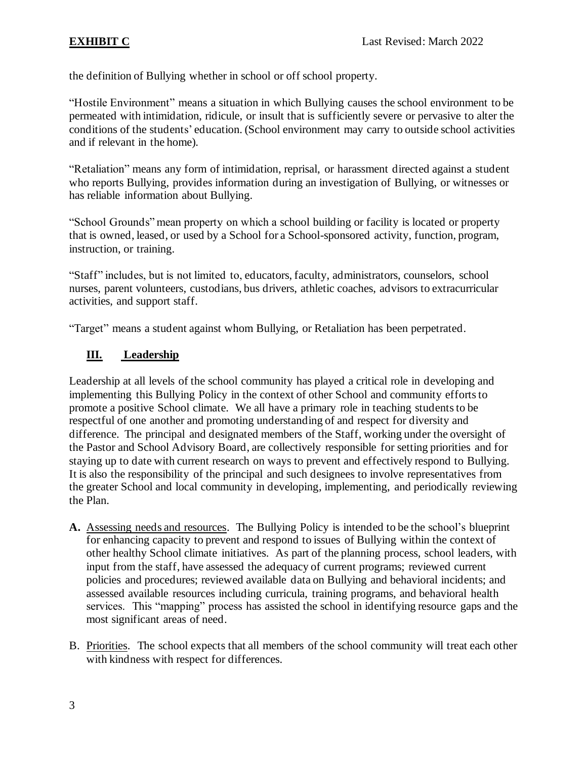the definition of Bullying whether in school or off school property.

"Hostile Environment" means a situation in which Bullying causes the school environment to be permeated with intimidation, ridicule, or insult that is sufficiently severe or pervasive to alter the conditions of the students' education. (School environment may carry to outside school activities and if relevant in the home).

"Retaliation" means any form of intimidation, reprisal, or harassment directed against a student who reports Bullying, provides information during an investigation of Bullying, or witnesses or has reliable information about Bullying.

"School Grounds" mean property on which a school building or facility is located or property that is owned, leased, or used by a School for a School-sponsored activity, function, program, instruction, or training.

"Staff" includes, but is not limited to, educators, faculty, administrators, counselors, school nurses, parent volunteers, custodians, bus drivers, athletic coaches, advisors to extracurricular activities, and support staff.

"Target" means a student against whom Bullying, or Retaliation has been perpetrated.

# **III. Leadership**

Leadership at all levels of the school community has played a critical role in developing and implementing this Bullying Policy in the context of other School and community efforts to promote a positive School climate. We all have a primary role in teaching students to be respectful of one another and promoting understanding of and respect for diversity and difference. The principal and designated members of the Staff, working under the oversight of the Pastor and School Advisory Board, are collectively responsible for setting priorities and for staying up to date with current research on ways to prevent and effectively respond to Bullying. It is also the responsibility of the principal and such designees to involve representatives from the greater School and local community in developing, implementing, and periodically reviewing the Plan.

- **A.** Assessing needs and resources. The Bullying Policy is intended to be the school's blueprint for enhancing capacity to prevent and respond to issues of Bullying within the context of other healthy School climate initiatives. As part of the planning process, school leaders, with input from the staff, have assessed the adequacy of current programs; reviewed current policies and procedures; reviewed available data on Bullying and behavioral incidents; and assessed available resources including curricula, training programs, and behavioral health services. This "mapping" process has assisted the school in identifying resource gaps and the most significant areas of need.
- B. Priorities. The school expects that all members of the school community will treat each other with kindness with respect for differences.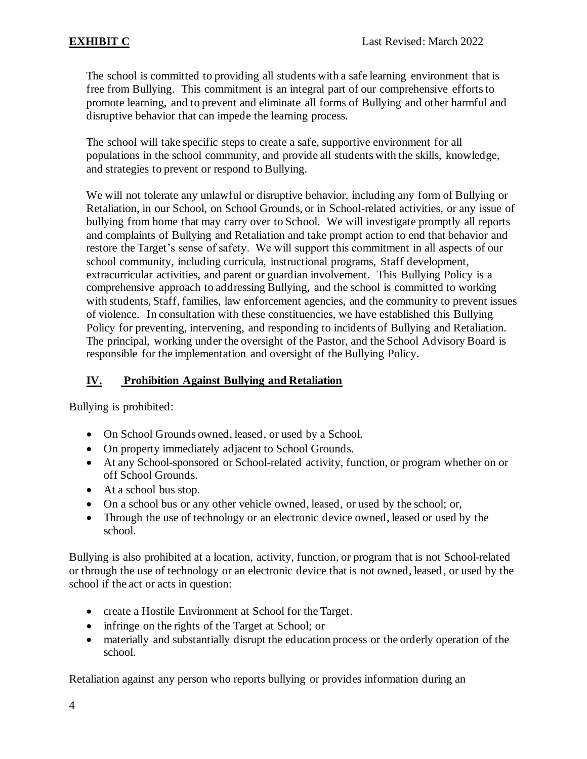The school is committed to providing all students with a safe learning environment that is free from Bullying. This commitment is an integral part of our comprehensive efforts to promote learning, and to prevent and eliminate all forms of Bullying and other harmful and disruptive behavior that can impede the learning process.

The school will take specific steps to create a safe, supportive environment for all populations in the school community, and provide all students with the skills, knowledge, and strategies to prevent or respond to Bullying.

We will not tolerate any unlawful or disruptive behavior, including any form of Bullying or Retaliation, in our School, on School Grounds, or in School-related activities, or any issue of bullying from home that may carry over to School. We will investigate promptly all reports and complaints of Bullying and Retaliation and take prompt action to end that behavior and restore the Target's sense of safety. We will support this commitment in all aspects of our school community, including curricula, instructional programs, Staff development, extracurricular activities, and parent or guardian involvement. This Bullying Policy is a comprehensive approach to addressing Bullying, and the school is committed to working with students, Staff, families, law enforcement agencies, and the community to prevent issues of violence. In consultation with these constituencies, we have established this Bullying Policy for preventing, intervening, and responding to incidents of Bullying and Retaliation. The principal, working under the oversight of the Pastor, and the School Advisory Board is responsible for the implementation and oversight of the Bullying Policy.

# **IV. Prohibition Against Bullying and Retaliation**

Bullying is prohibited:

- On School Grounds owned, leased, or used by a School.
- On property immediately adjacent to School Grounds.
- At any School-sponsored or School-related activity, function, or program whether on or off School Grounds.
- At a school bus stop.
- On a school bus or any other vehicle owned, leased, or used by the school; or,
- Through the use of technology or an electronic device owned, leased or used by the school.

Bullying is also prohibited at a location, activity, function, or program that is not School-related or through the use of technology or an electronic device that is not owned, leased, or used by the school if the act or acts in question:

- create a Hostile Environment at School for the Target.
- infringe on the rights of the Target at School; or
- materially and substantially disrupt the education process or the orderly operation of the school.

Retaliation against any person who reports bullying or provides information during an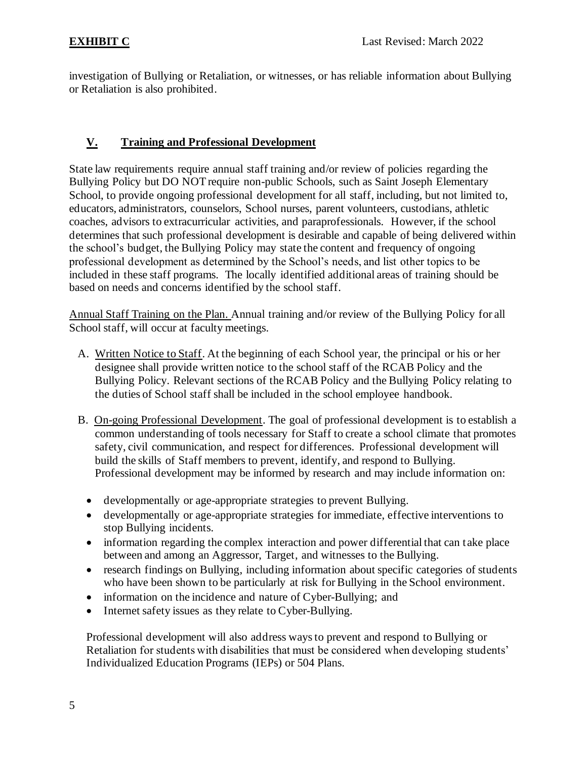investigation of Bullying or Retaliation, or witnesses, or has reliable information about Bullying or Retaliation is also prohibited.

# **V. Training and Professional Development**

State law requirements require annual staff training and/or review of policies regarding the Bullying Policy but DO NOT require non-public Schools, such as Saint Joseph Elementary School, to provide ongoing professional development for all staff, including, but not limited to, educators, administrators, counselors, School nurses, parent volunteers, custodians, athletic coaches, advisors to extracurricular activities, and paraprofessionals. However, if the school determines that such professional development is desirable and capable of being delivered within the school's budget, the Bullying Policy may state the content and frequency of ongoing professional development as determined by the School's needs, and list other topics to be included in these staff programs. The locally identified additional areas of training should be based on needs and concerns identified by the school staff.

Annual Staff Training on the Plan. Annual training and/or review of the Bullying Policy for all School staff, will occur at faculty meetings.

- A. Written Notice to Staff. At the beginning of each School year, the principal or his or her designee shall provide written notice to the school staff of the RCAB Policy and the Bullying Policy. Relevant sections of the RCAB Policy and the Bullying Policy relating to the duties of School staff shall be included in the school employee handbook.
- B. On-going Professional Development. The goal of professional development is to establish a common understanding of tools necessary for Staff to create a school climate that promotes safety, civil communication, and respect for differences. Professional development will build the skills of Staff members to prevent, identify, and respond to Bullying. Professional development may be informed by research and may include information on:
	- developmentally or age-appropriate strategies to prevent Bullying.
	- developmentally or age-appropriate strategies for immediate, effective interventions to stop Bullying incidents.
	- information regarding the complex interaction and power differential that can take place between and among an Aggressor, Target, and witnesses to the Bullying.
	- research findings on Bullying, including information about specific categories of students who have been shown to be particularly at risk for Bullying in the School environment.
	- information on the incidence and nature of Cyber-Bullying; and
	- Internet safety issues as they relate to Cyber-Bullying.

Professional development will also address ways to prevent and respond to Bullying or Retaliation for students with disabilities that must be considered when developing students' Individualized Education Programs (IEPs) or 504 Plans.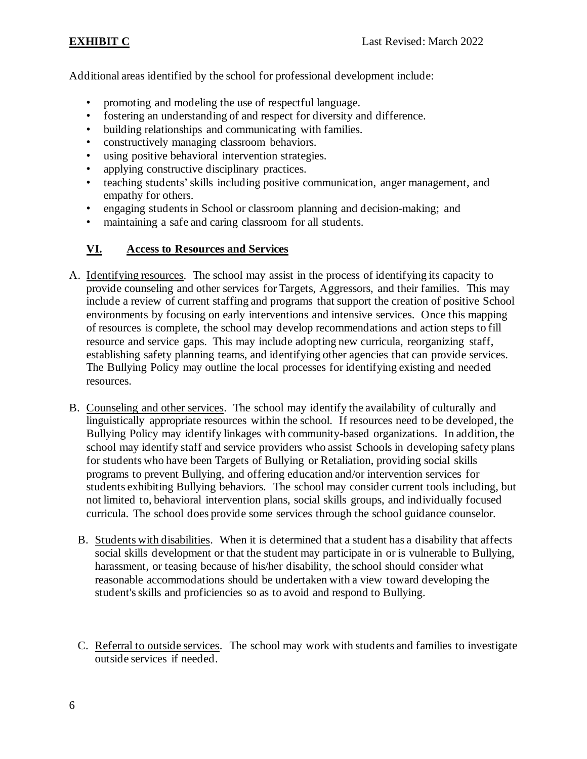Additional areas identified by the school for professional development include:

- promoting and modeling the use of respectful language.
- fostering an understanding of and respect for diversity and difference.
- building relationships and communicating with families.
- constructively managing classroom behaviors.
- using positive behavioral intervention strategies.
- applying constructive disciplinary practices.
- teaching students'skills including positive communication, anger management, and empathy for others.
- engaging students in School or classroom planning and decision-making; and
- maintaining a safe and caring classroom for all students.

## **VI. Access to Resources and Services**

- A. Identifying resources. The school may assist in the process of identifying its capacity to provide counseling and other services for Targets, Aggressors, and their families. This may include a review of current staffing and programs that support the creation of positive School environments by focusing on early interventions and intensive services. Once this mapping of resources is complete, the school may develop recommendations and action steps to fill resource and service gaps. This may include adopting new curricula, reorganizing staff, establishing safety planning teams, and identifying other agencies that can provide services. The Bullying Policy may outline the local processes for identifying existing and needed resources.
- B. Counseling and other services. The school may identify the availability of culturally and linguistically appropriate resources within the school. If resources need to be developed, the Bullying Policy may identify linkages with community-based organizations. In addition, the school may identify staff and service providers who assist Schools in developing safety plans for students who have been Targets of Bullying or Retaliation, providing social skills programs to prevent Bullying, and offering education and/or intervention services for students exhibiting Bullying behaviors. The school may consider current tools including, but not limited to, behavioral intervention plans, social skills groups, and individually focused curricula. The school does provide some services through the school guidance counselor.
	- B. Students with disabilities. When it is determined that a student has a disability that affects social skills development or that the student may participate in or is vulnerable to Bullying, harassment, or teasing because of his/her disability, the school should consider what reasonable accommodations should be undertaken with a view toward developing the student's skills and proficiencies so as to avoid and respond to Bullying.
	- C. Referral to outside services. The school may work with students and families to investigate outside services if needed.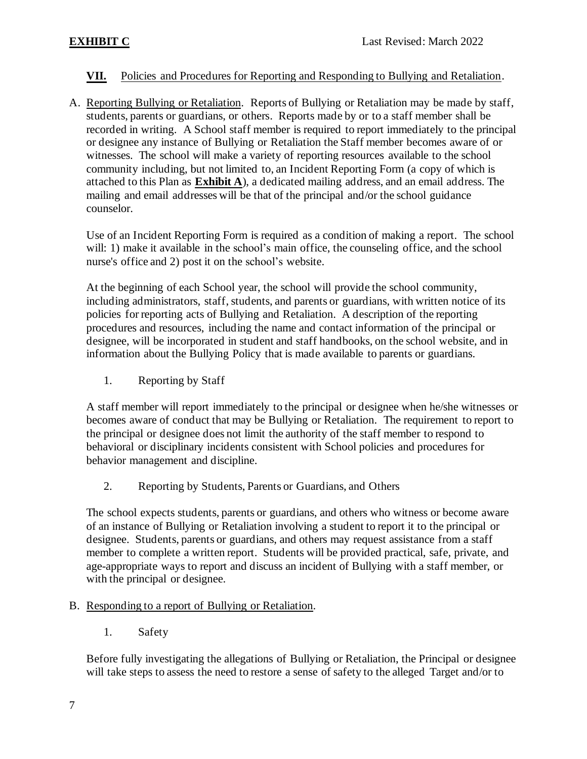## **VII.** Policies and Procedures for Reporting and Responding to Bullying and Retaliation.

A. Reporting Bullying or Retaliation. Reports of Bullying or Retaliation may be made by staff, students, parents or guardians, or others. Reports made by or to a staff member shall be recorded in writing. A School staff member is required to report immediately to the principal or designee any instance of Bullying or Retaliation the Staff member becomes aware of or witnesses. The school will make a variety of reporting resources available to the school community including, but not limited to, an Incident Reporting Form (a copy of which is attached to this Plan as **Exhibit A**), a dedicated mailing address, and an email address. The mailing and email addresses will be that of the principal and/or the school guidance counselor.

Use of an Incident Reporting Form is required as a condition of making a report. The school will: 1) make it available in the school's main office, the counseling office, and the school nurse's office and 2) post it on the school's website.

At the beginning of each School year, the school will provide the school community, including administrators, staff, students, and parents or guardians, with written notice of its policies for reporting acts of Bullying and Retaliation. A description of the reporting procedures and resources, including the name and contact information of the principal or designee, will be incorporated in student and staff handbooks, on the school website, and in information about the Bullying Policy that is made available to parents or guardians.

1. Reporting by Staff

A staff member will report immediately to the principal or designee when he/she witnesses or becomes aware of conduct that may be Bullying or Retaliation. The requirement to report to the principal or designee does not limit the authority of the staff member to respond to behavioral or disciplinary incidents consistent with School policies and procedures for behavior management and discipline.

2. Reporting by Students, Parents or Guardians, and Others

The school expects students, parents or guardians, and others who witness or become aware of an instance of Bullying or Retaliation involving a student to report it to the principal or designee. Students, parents or guardians, and others may request assistance from a staff member to complete a written report. Students will be provided practical, safe, private, and age-appropriate ways to report and discuss an incident of Bullying with a staff member, or with the principal or designee.

- B. Responding to a report of Bullying or Retaliation.
	- 1. Safety

Before fully investigating the allegations of Bullying or Retaliation, the Principal or designee will take steps to assess the need to restore a sense of safety to the alleged Target and/or to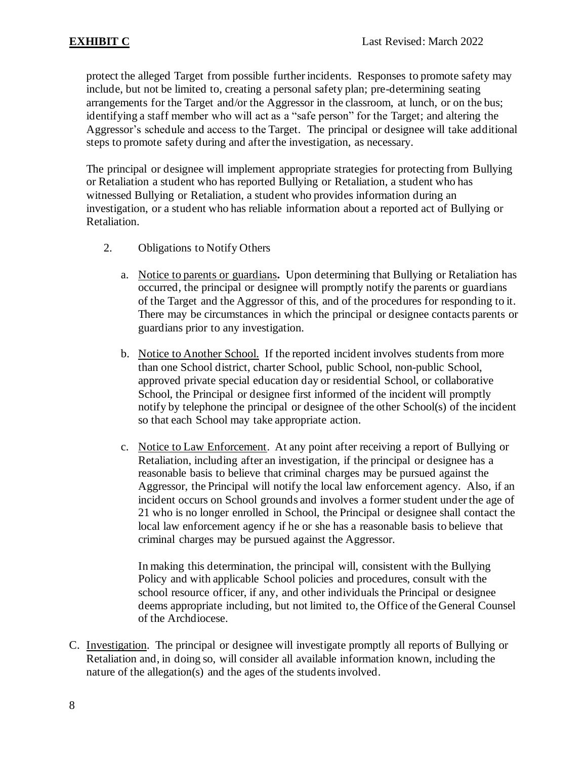protect the alleged Target from possible further incidents. Responses to promote safety may include, but not be limited to, creating a personal safety plan; pre-determining seating arrangements for the Target and/or the Aggressor in the classroom, at lunch, or on the bus; identifying a staff member who will act as a "safe person" for the Target; and altering the Aggressor's schedule and access to the Target. The principal or designee will take additional steps to promote safety during and after the investigation, as necessary.

The principal or designee will implement appropriate strategies for protecting from Bullying or Retaliation a student who has reported Bullying or Retaliation, a student who has witnessed Bullying or Retaliation, a student who provides information during an investigation, or a student who has reliable information about a reported act of Bullying or Retaliation.

- 2. Obligations to Notify Others
	- a. Notice to parents or guardians**.** Upon determining that Bullying or Retaliation has occurred, the principal or designee will promptly notify the parents or guardians of the Target and the Aggressor of this, and of the procedures for responding to it. There may be circumstances in which the principal or designee contacts parents or guardians prior to any investigation.
	- b. Notice to Another School. If the reported incident involves students from more than one School district, charter School, public School, non-public School, approved private special education day or residential School, or collaborative School, the Principal or designee first informed of the incident will promptly notify by telephone the principal or designee of the other School(s) of the incident so that each School may take appropriate action.
	- c. Notice to Law Enforcement.At any point after receiving a report of Bullying or Retaliation, including after an investigation, if the principal or designee has a reasonable basis to believe that criminal charges may be pursued against the Aggressor, the Principal will notify the local law enforcement agency. Also, if an incident occurs on School grounds and involves a former student under the age of 21 who is no longer enrolled in School, the Principal or designee shall contact the local law enforcement agency if he or she has a reasonable basis to believe that criminal charges may be pursued against the Aggressor.

In making this determination, the principal will, consistent with the Bullying Policy and with applicable School policies and procedures, consult with the school resource officer, if any, and other individuals the Principal or designee deems appropriate including, but not limited to, the Office of the General Counsel of the Archdiocese.

C. Investigation. The principal or designee will investigate promptly all reports of Bullying or Retaliation and, in doing so, will consider all available information known, including the nature of the allegation(s) and the ages of the students involved.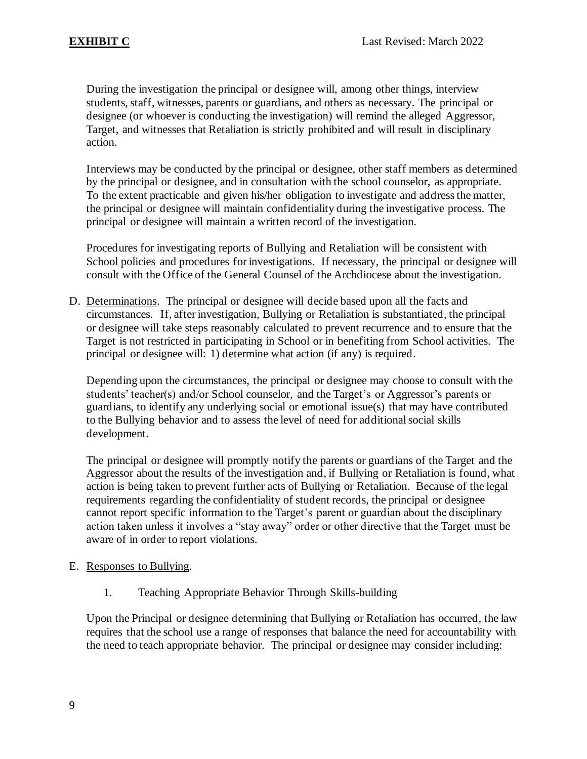During the investigation the principal or designee will, among other things, interview students, staff, witnesses, parents or guardians, and others as necessary. The principal or designee (or whoever is conducting the investigation) will remind the alleged Aggressor, Target, and witnesses that Retaliation is strictly prohibited and will result in disciplinary action.

Interviews may be conducted by the principal or designee, other staff members as determined by the principal or designee, and in consultation with the school counselor, as appropriate. To the extent practicable and given his/her obligation to investigate and address the matter, the principal or designee will maintain confidentiality during the investigative process. The principal or designee will maintain a written record of the investigation.

Procedures for investigating reports of Bullying and Retaliation will be consistent with School policies and procedures for investigations. If necessary, the principal or designee will consult with the Office of the General Counsel of the Archdiocese about the investigation.

D. Determinations. The principal or designee will decide based upon all the facts and circumstances. If, after investigation, Bullying or Retaliation is substantiated, the principal or designee will take steps reasonably calculated to prevent recurrence and to ensure that the Target is not restricted in participating in School or in benefiting from School activities. The principal or designee will: 1) determine what action (if any) is required.

Depending upon the circumstances, the principal or designee may choose to consult with the students' teacher(s) and/or School counselor, and the Target's or Aggressor's parents or guardians, to identify any underlying social or emotional issue(s) that may have contributed to the Bullying behavior and to assess the level of need for additional social skills development.

The principal or designee will promptly notify the parents or guardians of the Target and the Aggressor about the results of the investigation and, if Bullying or Retaliation is found, what action is being taken to prevent further acts of Bullying or Retaliation. Because of the legal requirements regarding the confidentiality of student records, the principal or designee cannot report specific information to the Target's parent or guardian about the disciplinary action taken unless it involves a "stay away" order or other directive that the Target must be aware of in order to report violations.

### E. Responses to Bullying.

1. Teaching Appropriate Behavior Through Skills-building

Upon the Principal or designee determining that Bullying or Retaliation has occurred, the law requires that the school use a range of responses that balance the need for accountability with the need to teach appropriate behavior. The principal or designee may consider including: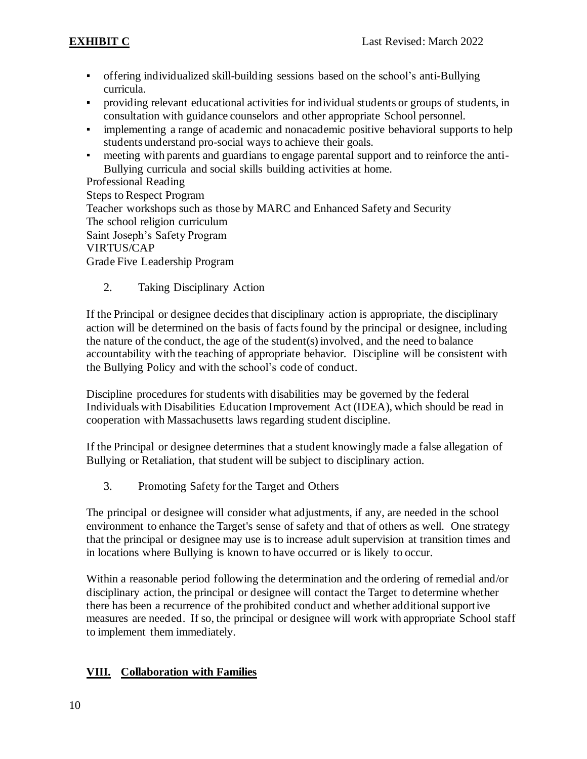- offering individualized skill-building sessions based on the school's anti-Bullying curricula.
- providing relevant educational activities for individual students or groups of students, in consultation with guidance counselors and other appropriate School personnel.
- implementing a range of academic and nonacademic positive behavioral supports to help students understand pro-social ways to achieve their goals.
- meeting with parents and guardians to engage parental support and to reinforce the anti-Bullying curricula and social skills building activities at home.

Professional Reading Steps to Respect Program Teacher workshops such as those by MARC and Enhanced Safety and Security The school religion curriculum Saint Joseph's Safety Program VIRTUS/CAP Grade Five Leadership Program

2. Taking Disciplinary Action

If the Principal or designee decides that disciplinary action is appropriate, the disciplinary action will be determined on the basis of facts found by the principal or designee, including the nature of the conduct, the age of the student(s) involved, and the need to balance accountability with the teaching of appropriate behavior. Discipline will be consistent with the Bullying Policy and with the school's code of conduct.

Discipline procedures for students with disabilities may be governed by the federal Individuals with Disabilities Education Improvement Act (IDEA), which should be read in cooperation with Massachusetts laws regarding student discipline.

If the Principal or designee determines that a student knowingly made a false allegation of Bullying or Retaliation, that student will be subject to disciplinary action.

3. Promoting Safety for the Target and Others

The principal or designee will consider what adjustments, if any, are needed in the school environment to enhance the Target's sense of safety and that of others as well. One strategy that the principal or designee may use is to increase adult supervision at transition times and in locations where Bullying is known to have occurred or is likely to occur.

Within a reasonable period following the determination and the ordering of remedial and/or disciplinary action, the principal or designee will contact the Target to determine whether there has been a recurrence of the prohibited conduct and whether additional supportive measures are needed. If so, the principal or designee will work with appropriate School staff to implement them immediately.

# **VIII. Collaboration with Families**